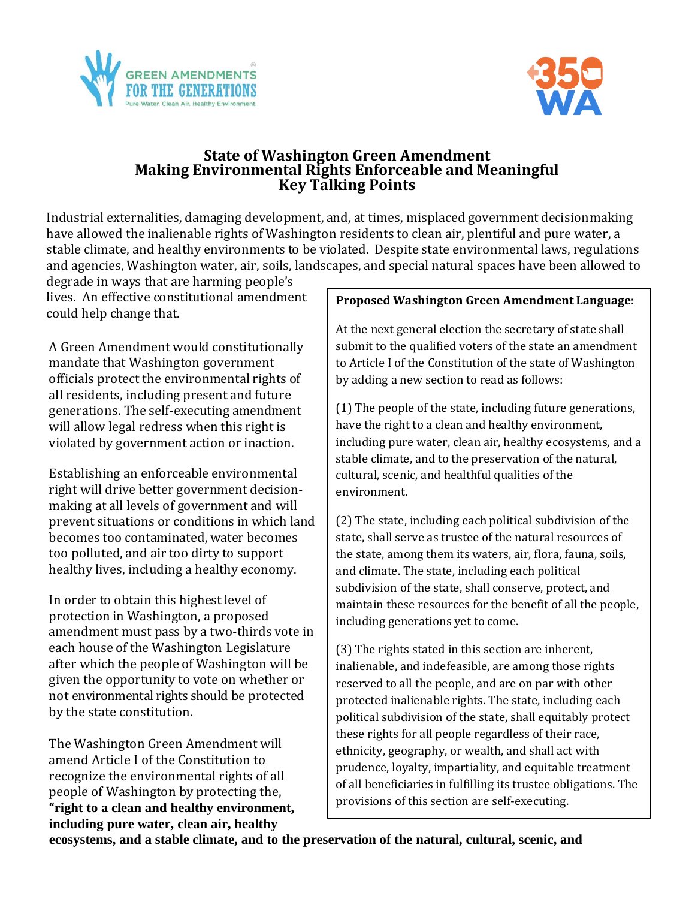



### **State of Washington Green Amendment Making Environmental Rights Enforceable and Meaningful Key Talking Points**

Industrial externalities, damaging development, and, at times, misplaced government decisionmaking have allowed the inalienable rights of Washington residents to clean air, plentiful and pure water, a stable climate, and healthy environments to be violated. Despite state environmental laws, regulations and agencies, Washington water, air, soils, landscapes, and special natural spaces have been allowed to

degrade in ways that are harming people's lives. An effective constitutional amendment could help change that.

A Green Amendment would constitutionally mandate that Washington government officials protect the environmental rights of all residents, including present and future generations. The self-executing amendment will allow legal redress when this right is violated by government action or inaction.

Establishing an enforceable environmental right will drive better government decisionmaking at all levels of government and will prevent situations or conditions in which land becomes too contaminated, water becomes too polluted, and air too dirty to support healthy lives, including a healthy economy.

In order to obtain this highest level of protection in Washington, a proposed amendment must pass by a two-thirds vote in each house of the Washington Legislature after which the people of Washington will be given the opportunity to vote on whether or not environmental rights should be protected by the state constitution.

The Washington Green Amendment will amend Article I of the Constitution to recognize the environmental rights of all people of Washington by protecting the, **"right to a clean and healthy environment, including pure water, clean air, healthy** 

#### **Proposed Washington Green Amendment Language:**

At the next general election the secretary of state shall submit to the qualified voters of the state an amendment to Article I of the Constitution of the state of Washington by adding a new section to read as follows:

(1) The people of the state, including future generations, have the right to a clean and healthy environment, including pure water, clean air, healthy ecosystems, and a stable climate, and to the preservation of the natural, cultural, scenic, and healthful qualities of the environment.

(2) The state, including each political subdivision of the state, shall serve as trustee of the natural resources of the state, among them its waters, air, flora, fauna, soils, and climate. The state, including each political subdivision of the state, shall conserve, protect, and maintain these resources for the benefit of all the people, including generations yet to come.

(3) The rights stated in this section are inherent, inalienable, and indefeasible, are among those rights reserved to all the people, and are on par with other protected inalienable rights. The state, including each political subdivision of the state, shall equitably protect these rights for all people regardless of their race, ethnicity, geography, or wealth, and shall act with prudence, loyalty, impartiality, and equitable treatment of all beneficiaries in fulfilling its trustee obligations. The provisions of this section are self-executing.

**ecosystems, and a stable climate, and to the preservation of the natural, cultural, scenic, and**